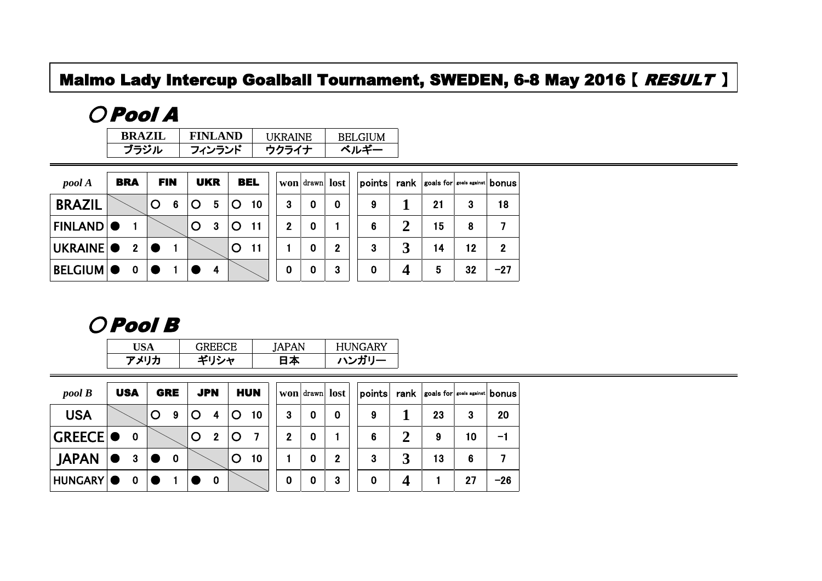#### Malmo Lady Intercup Goalball Tournament, SWEDEN, 6-8 May 2016 [ RESULT ]

## ○ Pool A

| <b>BRAZIL</b> | <b>FINLAND</b> | <b>HKRAINE</b> | <b>BELGIUM</b> |
|---------------|----------------|----------------|----------------|
| ブラジル          | フィンランド         | ウクライナ          | ベルギー           |

| pool A         | <b>BRA</b>     | <b>FIN</b>       | <b>UKR</b>      | <b>BEL</b> |              |   | won drawn lost |   |             |    | points rank soals for soals against bonus |       |
|----------------|----------------|------------------|-----------------|------------|--------------|---|----------------|---|-------------|----|-------------------------------------------|-------|
| <b>BRAZIL</b>  |                | 6<br>$\mathbf O$ | $5\phantom{.0}$ | 10         | 3            | 0 | 0              | 9 |             | 21 | 3                                         | 18    |
| <b>FINLAND</b> |                |                  | 3               | 11         | $\mathbf{2}$ | 0 |                | 6 | $\mathbf 2$ | 15 | 8                                         |       |
| UKRAINE O      | $\overline{2}$ |                  |                 |            |              | 0 | $\mathbf{2}$   | 3 | 3           | 14 | 12                                        | 2     |
| <b>BELGIUM</b> | $\mathbf 0$    |                  | $\overline{4}$  |            | 0            | 0 | 3              | 0 | Δ           | 5  | 32                                        | $-27$ |

### ○ Pool B

| JSA  | <b>GREECE</b> | JAPAN | <b>HUNGARY</b> |
|------|---------------|-------|----------------|
| アメリカ | ギリシャ          | 4⊼ ا  | ハンガリー          |

| $pool \, B$     |           | <b>USA</b>   |         | GRE         |         | <b>JPN</b>   |         | <b>HUN</b>      |                  |   | won drawn lost | points |                  | $rank$ goals for $ s$ coals against $ $ bonus |    |       |
|-----------------|-----------|--------------|---------|-------------|---------|--------------|---------|-----------------|------------------|---|----------------|--------|------------------|-----------------------------------------------|----|-------|
| <b>USA</b>      |           |              | $\circ$ | 9           | $\circ$ | 4            | $\circ$ | 10 <sub>1</sub> | 3                | 0 | 0              | 9      |                  | 23                                            | 3  | 20    |
| <b>GREECE O</b> |           | $\mathbf 0$  |         |             | O       | $\mathbf{2}$ | $\circ$ |                 | $\boldsymbol{2}$ | 0 |                | 6      | $\boldsymbol{2}$ | 9                                             | 10 | -1    |
| <b>JAPAN</b>    | $\bullet$ | $\mathbf{3}$ |         | $\mathbf 0$ |         |              | O       | 10 <sub>1</sub> |                  | 0 | $\mathbf 2$    | 3      | -7<br>Ĵ          | 13                                            | 6  |       |
| HUNGARY O       |           | $\mathbf 0$  |         |             |         | 0            |         |                 | $\mathbf 0$      | 0 | 3              | 0      | 4                |                                               | 27 | $-26$ |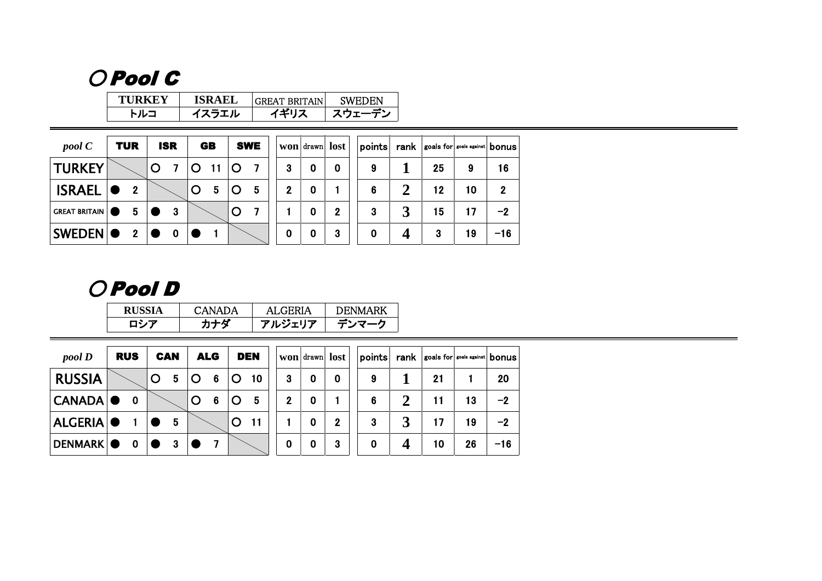# ○ Pool C

| TURKEY | <b>ISRAEL</b> | <b>IGREAT BRITAIN</b> | SWEDEN |
|--------|---------------|-----------------------|--------|
| トルニ    | イスラエル         | イギリス                  | スウェーデン |

| pool C               | <b>TUR</b>     | <b>ISR</b> |   | <b>GB</b> |             | <b>SWE</b> |             |   | won drawn lost |   |    | points    rank    goals for    goals against    bonus |             |
|----------------------|----------------|------------|---|-----------|-------------|------------|-------------|---|----------------|---|----|-------------------------------------------------------|-------------|
| <b>TURKEY</b>        |                |            |   |           |             |            | 3           | 0 | 0              | 9 | 25 | 9                                                     | 16          |
| <b>ISRAEL</b>        | $\mathbf{2}$   |            | O | 5         | $\mathbf C$ | 5          | $\mathbf 2$ | 0 |                | 6 | 12 | 10                                                    | $\mathbf 2$ |
| <b>GREAT BRITAIN</b> | 5              | 3          |   |           | $\mathbf C$ |            |             | 0 | 2              | 3 | 15 | 17                                                    | $-2$        |
| <b>SWEDEN O</b>      | $\overline{2}$ | 0          |   |           |             |            | 0           | 0 | -3             | 0 | 3  | 19                                                    | $-16$       |

## ○ Pool D

| RU: | CANADA | AL GERIA | <b>DENMARK</b> |
|-----|--------|----------|----------------|
|     |        | アルジェリア   |                |

| $pool\,D$        | <b>RUS</b>  |   | <b>CAN</b> |         | <b>ALG</b> |         | <b>DEN</b>      |                  |  | won drawn lost   | points |        | <b>rank</b> goals for soals against bonus |    |       |
|------------------|-------------|---|------------|---------|------------|---------|-----------------|------------------|--|------------------|--------|--------|-------------------------------------------|----|-------|
| <b>RUSSIA</b>    |             | O | 5          | $\circ$ | 6          | $\circ$ | 10 <sup>°</sup> | 3                |  | $\mathbf 0$      | 9      |        | 21                                        |    | 20    |
| <b>CANADA</b>    | $\mathbf 0$ |   |            | $\circ$ | -6         | Ő       | 5               | $\mathbf 2$      |  |                  | 6      | ◠<br>∠ | 11                                        | 13 | $-2$  |
| ALGERIA <b>O</b> |             |   | 5          |         |            | $\circ$ | 11              |                  |  | $\boldsymbol{2}$ | 3      | 3      | 17                                        | 19 | $-2$  |
| <b>DENMARK</b>   | $\mathbf 0$ |   | 3          |         |            |         |                 | $\boldsymbol{0}$ |  | 3                | 0      | 4      | 10                                        | 26 | $-16$ |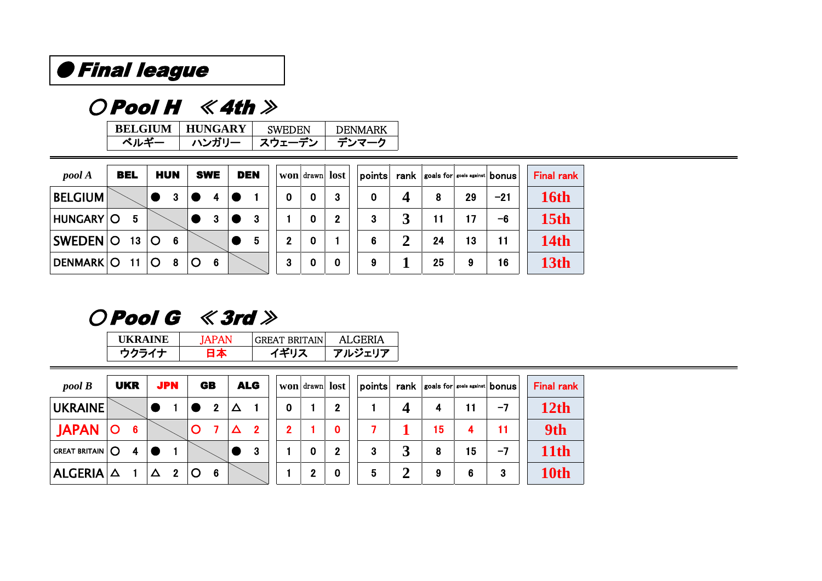## ● Final league

## $O$  Pool H  $\ \ \ll$  4th  $\gg$

| <b>BELGIUM</b> | <b>HUNGARY</b> | <b>SWEDEN</b> | <b>DENMARK</b> |
|----------------|----------------|---------------|----------------|
| ベルギー           | ハンガリー          | スウェーデン        | <b>テンマーク</b>   |

| pool A           | <b>BEL</b>      | <b>HUN</b> |    | <b>SWE</b> | <b>DEN</b> |    |          | won drawn lost |   |   | points    rank    goals for    goals against    bonus |    |       | <b>Final rank</b> |
|------------------|-----------------|------------|----|------------|------------|----|----------|----------------|---|---|-------------------------------------------------------|----|-------|-------------------|
| <b>BELGIUM</b>   |                 |            |    |            |            | 0  | 0        | -3             | 0 | Δ | 8                                                     | 29 | $-21$ | 16th              |
| <b>HUNGARY O</b> | 5               |            |    |            | 3          |    | $\bf{0}$ | $\mathbf{2}$   | 3 |   |                                                       | 17 | -6    | 15 <sub>th</sub>  |
| SWEDEN O         | 13 <sub>1</sub> | O          | -6 |            | 5          | 2  | 0        |                | 6 |   | 24                                                    | 13 | 11    | <b>14th</b>       |
| DENMARK O 11     |                 | $\circ$    | 8  | 6          |            | -3 | 0        | $\bf{0}$       | 9 |   | 25                                                    | 9  | 16    | <b>13th</b>       |

 $O$  Pool G  $\ \ \ll$  3rd  $\gg$ 

| <b>HKRAINE</b> | $A$ PAN | GREAT BRITAIN! | AL GERIA |
|----------------|---------|----------------|----------|
|                | ┙┻      | イギロラ           | アルジェリア   |

| $pool \, B$                      |              | <b>UKR</b>     | <b>JPN</b>   |              | <b>GB</b>    |   | <b>ALG</b>  |              |   | won drawn lost | points |   |    |    | rank scals for soals against bonus | <b>Final rank</b> |
|----------------------------------|--------------|----------------|--------------|--------------|--------------|---|-------------|--------------|---|----------------|--------|---|----|----|------------------------------------|-------------------|
| <b>UKRAINE</b>                   |              |                |              |              | $\mathbf{2}$ | Δ |             |              |   | 2              |        | Δ | 4  | 11 | $-7$                               | <b>12th</b>       |
| <b>JAPAN</b>                     | $\mathsf{O}$ | $6\phantom{1}$ |              | $\mathbf{O}$ |              | Δ | $\mathbf 2$ | $\mathbf{2}$ |   | 0              |        |   | 15 | 4  | 11                                 | 9th               |
| $ $ GREAT BRITAIN $ $ $\bigcirc$ |              | 4              |              |              |              |   | 3           |              | 0 | $\mathbf{2}$   | 3      | 3 | 8  | 15 | $-7$                               | 11th              |
| $ ALGERIA  \Delta$               |              |                | $\mathbf{2}$ | O            | - 6          |   |             |              |   |                | 5      | 2 | 9  | 6  | 3                                  | 10th              |